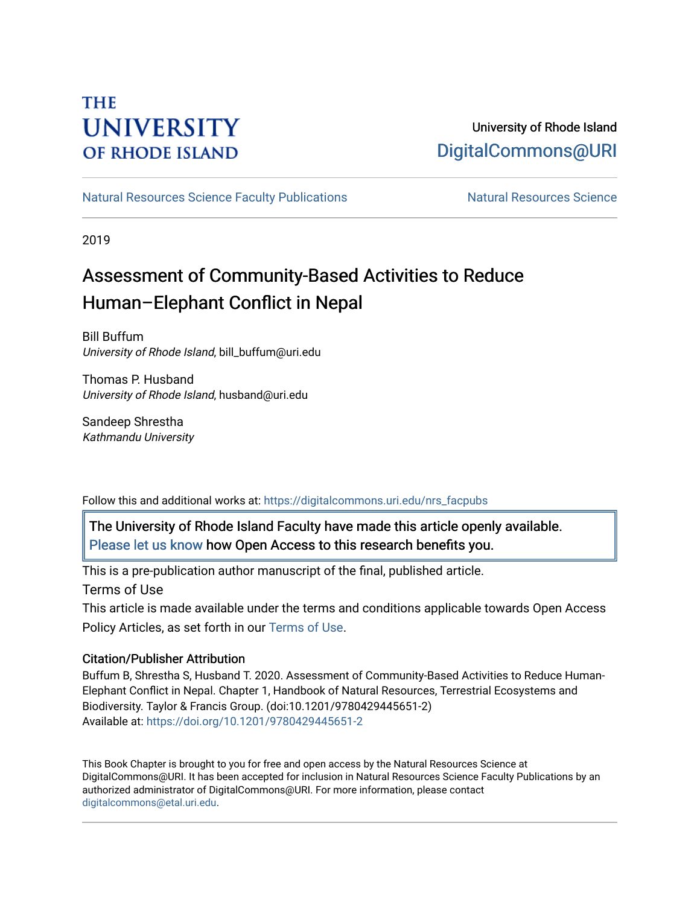## **THE UNIVERSITY OF RHODE ISLAND**

## University of Rhode Island [DigitalCommons@URI](https://digitalcommons.uri.edu/)

[Natural Resources Science Faculty Publications](https://digitalcommons.uri.edu/nrs_facpubs) Natural Resources Science

2019

# Assessment of Community-Based Activities to Reduce Human–Elephant Conflict in Nepal

Bill Buffum University of Rhode Island, bill\_buffum@uri.edu

Thomas P. Husband University of Rhode Island, husband@uri.edu

Sandeep Shrestha Kathmandu University

Follow this and additional works at: [https://digitalcommons.uri.edu/nrs\\_facpubs](https://digitalcommons.uri.edu/nrs_facpubs?utm_source=digitalcommons.uri.edu%2Fnrs_facpubs%2F210&utm_medium=PDF&utm_campaign=PDFCoverPages) 

The University of Rhode Island Faculty have made this article openly available. [Please let us know](http://web.uri.edu/library-digital-initiatives/open-access-online-form/) how Open Access to this research benefits you.

This is a pre-publication author manuscript of the final, published article.

Terms of Use

This article is made available under the terms and conditions applicable towards Open Access Policy Articles, as set forth in our [Terms of Use](https://digitalcommons.uri.edu/nrs_facpubs/oa_policy_terms.html).

## Citation/Publisher Attribution

Buffum B, Shrestha S, Husband T. 2020. Assessment of Community-Based Activities to Reduce Human-Elephant Conflict in Nepal. Chapter 1, Handbook of Natural Resources, Terrestrial Ecosystems and Biodiversity. Taylor & Francis Group. (doi:10.1201/9780429445651-2) Available at:<https://doi.org/10.1201/9780429445651-2>

This Book Chapter is brought to you for free and open access by the Natural Resources Science at DigitalCommons@URI. It has been accepted for inclusion in Natural Resources Science Faculty Publications by an authorized administrator of DigitalCommons@URI. For more information, please contact [digitalcommons@etal.uri.edu](mailto:digitalcommons@etal.uri.edu).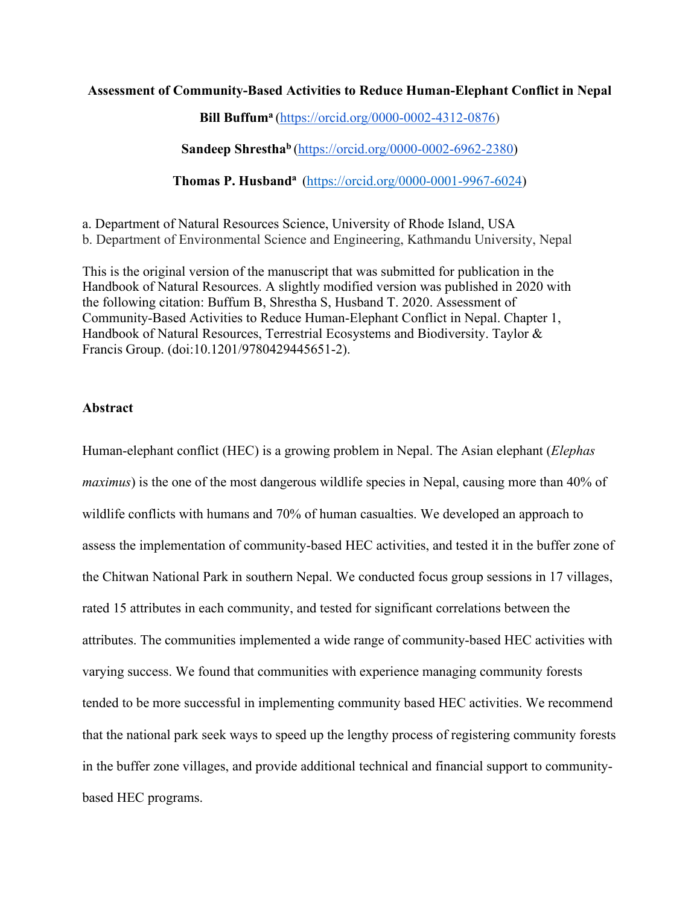#### **Assessment of Community-Based Activities to Reduce Human-Elephant Conflict in Nepal**

**Bill Buffuma** [\(https://orcid.org/0000-0002-4312-0876\)](https://orcid.org/0000-0002-4312-0876)

**Sandeep Shresthab** [\(https://orcid.org/0000-0002-6962-2380\)](https://orcid.org/0000-0002-6962-2380)

**Thomas P. Husbanda** [\(https://orcid.org/0000-0001-9967-6024\)](https://orcid.org/0000-0001-9967-6024)

a. Department of Natural Resources Science, University of Rhode Island, USA b. Department of Environmental Science and Engineering, Kathmandu University, Nepal

This is the original version of the manuscript that was submitted for publication in the Handbook of Natural Resources. A slightly modified version was published in 2020 with the following citation: Buffum B, Shrestha S, Husband T. 2020. Assessment of Community-Based Activities to Reduce Human-Elephant Conflict in Nepal. Chapter 1, Handbook of Natural Resources, Terrestrial Ecosystems and Biodiversity. Taylor & Francis Group. (doi:10.1201/9780429445651-2).

### **Abstract**

Human-elephant conflict (HEC) is a growing problem in Nepal. The Asian elephant (*Elephas maximus*) is the one of the most dangerous wildlife species in Nepal, causing more than 40% of wildlife conflicts with humans and 70% of human casualties. We developed an approach to assess the implementation of community-based HEC activities, and tested it in the buffer zone of the Chitwan National Park in southern Nepal. We conducted focus group sessions in 17 villages, rated 15 attributes in each community, and tested for significant correlations between the attributes. The communities implemented a wide range of community-based HEC activities with varying success. We found that communities with experience managing community forests tended to be more successful in implementing community based HEC activities. We recommend that the national park seek ways to speed up the lengthy process of registering community forests in the buffer zone villages, and provide additional technical and financial support to communitybased HEC programs.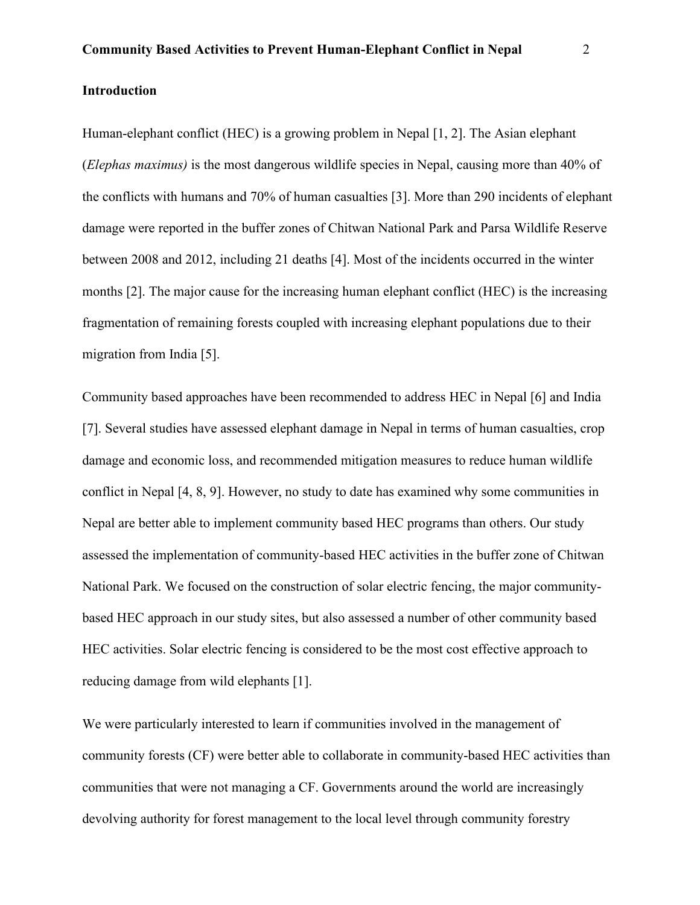## **Introduction**

Human-elephant conflict (HEC) is a growing problem in Nepal [1, 2]. The Asian elephant (*Elephas maximus)* is the most dangerous wildlife species in Nepal, causing more than 40% of the conflicts with humans and 70% of human casualties [3]. More than 290 incidents of elephant damage were reported in the buffer zones of Chitwan National Park and Parsa Wildlife Reserve between 2008 and 2012, including 21 deaths [4]. Most of the incidents occurred in the winter months [2]. The major cause for the increasing human elephant conflict (HEC) is the increasing fragmentation of remaining forests coupled with increasing elephant populations due to their migration from India [5].

Community based approaches have been recommended to address HEC in Nepal [6] and India [7]. Several studies have assessed elephant damage in Nepal in terms of human casualties, crop damage and economic loss, and recommended mitigation measures to reduce human wildlife conflict in Nepal [4, 8, 9]. However, no study to date has examined why some communities in Nepal are better able to implement community based HEC programs than others. Our study assessed the implementation of community-based HEC activities in the buffer zone of Chitwan National Park. We focused on the construction of solar electric fencing, the major communitybased HEC approach in our study sites, but also assessed a number of other community based HEC activities. Solar electric fencing is considered to be the most cost effective approach to reducing damage from wild elephants [1].

We were particularly interested to learn if communities involved in the management of community forests (CF) were better able to collaborate in community-based HEC activities than communities that were not managing a CF. Governments around the world are increasingly devolving authority for forest management to the local level through community forestry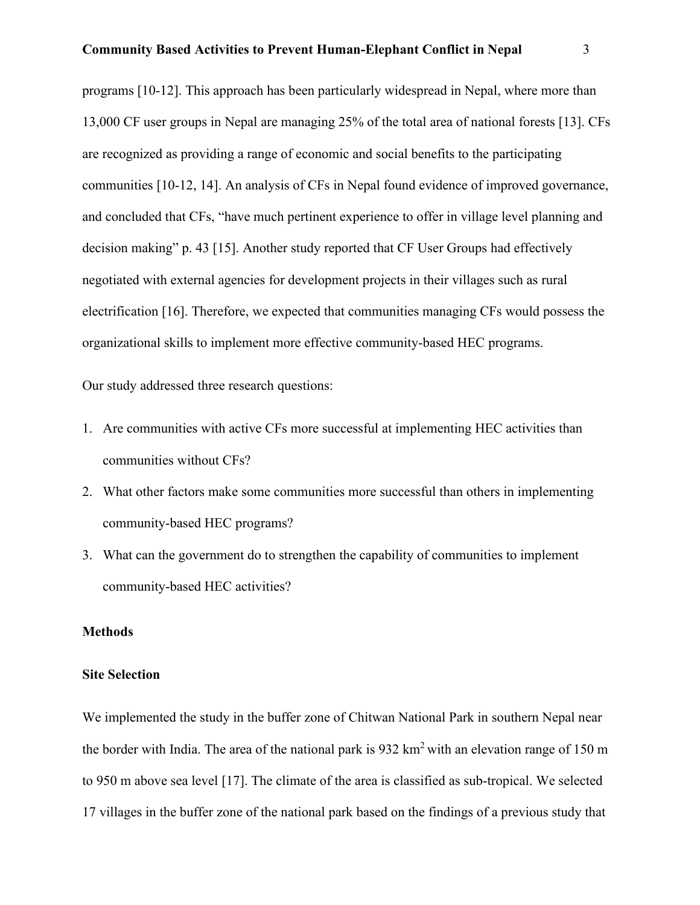programs [10-12]. This approach has been particularly widespread in Nepal, where more than 13,000 CF user groups in Nepal are managing 25% of the total area of national forests [13]. CFs are recognized as providing a range of economic and social benefits to the participating communities [10-12, 14]. An analysis of CFs in Nepal found evidence of improved governance, and concluded that CFs, "have much pertinent experience to offer in village level planning and decision making" p. 43 [15]. Another study reported that CF User Groups had effectively negotiated with external agencies for development projects in their villages such as rural electrification [16]. Therefore, we expected that communities managing CFs would possess the organizational skills to implement more effective community-based HEC programs.

Our study addressed three research questions:

- 1. Are communities with active CFs more successful at implementing HEC activities than communities without CFs?
- 2. What other factors make some communities more successful than others in implementing community-based HEC programs?
- 3. What can the government do to strengthen the capability of communities to implement community-based HEC activities?

#### **Methods**

#### **Site Selection**

We implemented the study in the buffer zone of Chitwan National Park in southern Nepal near the border with India. The area of the national park is  $932 \text{ km}^2$  with an elevation range of 150 m to 950 m above sea level [17]. The climate of the area is classified as sub-tropical. We selected 17 villages in the buffer zone of the national park based on the findings of a previous study that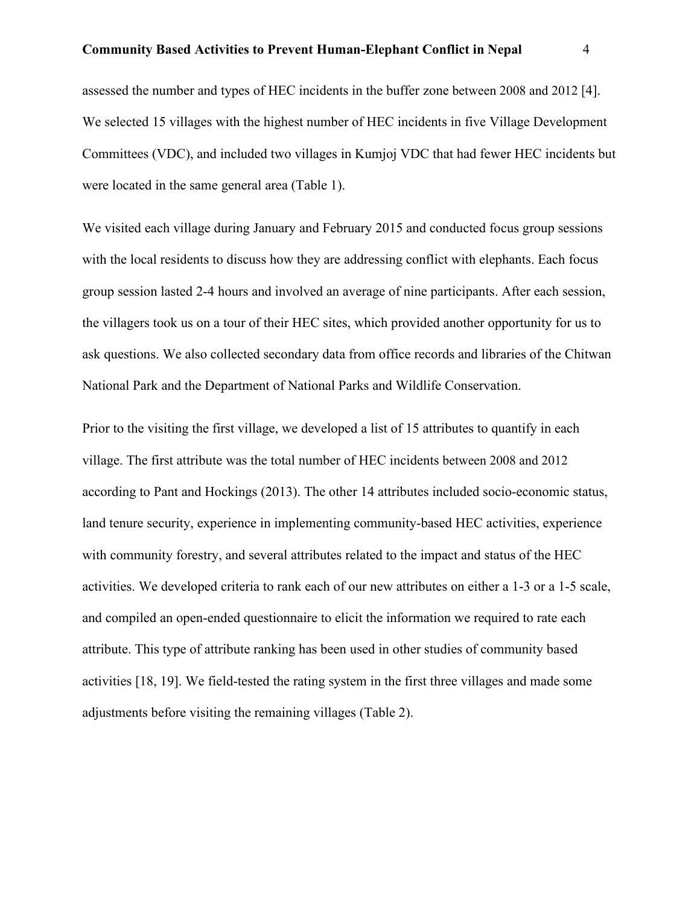#### **Community Based Activities to Prevent Human-Elephant Conflict in Nepal** 4

assessed the number and types of HEC incidents in the buffer zone between 2008 and 2012 [4]. We selected 15 villages with the highest number of HEC incidents in five Village Development Committees (VDC), and included two villages in Kumjoj VDC that had fewer HEC incidents but were located in the same general area (Table 1).

We visited each village during January and February 2015 and conducted focus group sessions with the local residents to discuss how they are addressing conflict with elephants. Each focus group session lasted 2-4 hours and involved an average of nine participants. After each session, the villagers took us on a tour of their HEC sites, which provided another opportunity for us to ask questions. We also collected secondary data from office records and libraries of the Chitwan National Park and the Department of National Parks and Wildlife Conservation.

Prior to the visiting the first village, we developed a list of 15 attributes to quantify in each village. The first attribute was the total number of HEC incidents between 2008 and 2012 according to Pant and Hockings (2013). The other 14 attributes included socio-economic status, land tenure security, experience in implementing community-based HEC activities, experience with community forestry, and several attributes related to the impact and status of the HEC activities. We developed criteria to rank each of our new attributes on either a 1-3 or a 1-5 scale, and compiled an open-ended questionnaire to elicit the information we required to rate each attribute. This type of attribute ranking has been used in other studies of community based activities [18, 19]. We field-tested the rating system in the first three villages and made some adjustments before visiting the remaining villages (Table 2).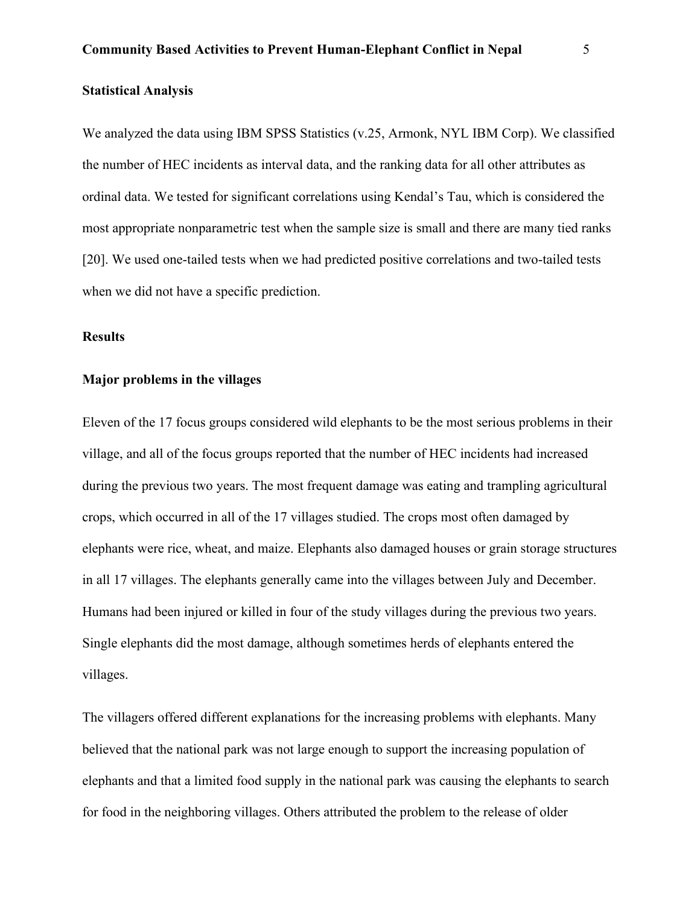## **Statistical Analysis**

We analyzed the data using IBM SPSS Statistics (v.25, Armonk, NYL IBM Corp). We classified the number of HEC incidents as interval data, and the ranking data for all other attributes as ordinal data. We tested for significant correlations using Kendal's Tau, which is considered the most appropriate nonparametric test when the sample size is small and there are many tied ranks [20]. We used one-tailed tests when we had predicted positive correlations and two-tailed tests when we did not have a specific prediction.

## **Results**

## **Major problems in the villages**

Eleven of the 17 focus groups considered wild elephants to be the most serious problems in their village, and all of the focus groups reported that the number of HEC incidents had increased during the previous two years. The most frequent damage was eating and trampling agricultural crops, which occurred in all of the 17 villages studied. The crops most often damaged by elephants were rice, wheat, and maize. Elephants also damaged houses or grain storage structures in all 17 villages. The elephants generally came into the villages between July and December. Humans had been injured or killed in four of the study villages during the previous two years. Single elephants did the most damage, although sometimes herds of elephants entered the villages.

The villagers offered different explanations for the increasing problems with elephants. Many believed that the national park was not large enough to support the increasing population of elephants and that a limited food supply in the national park was causing the elephants to search for food in the neighboring villages. Others attributed the problem to the release of older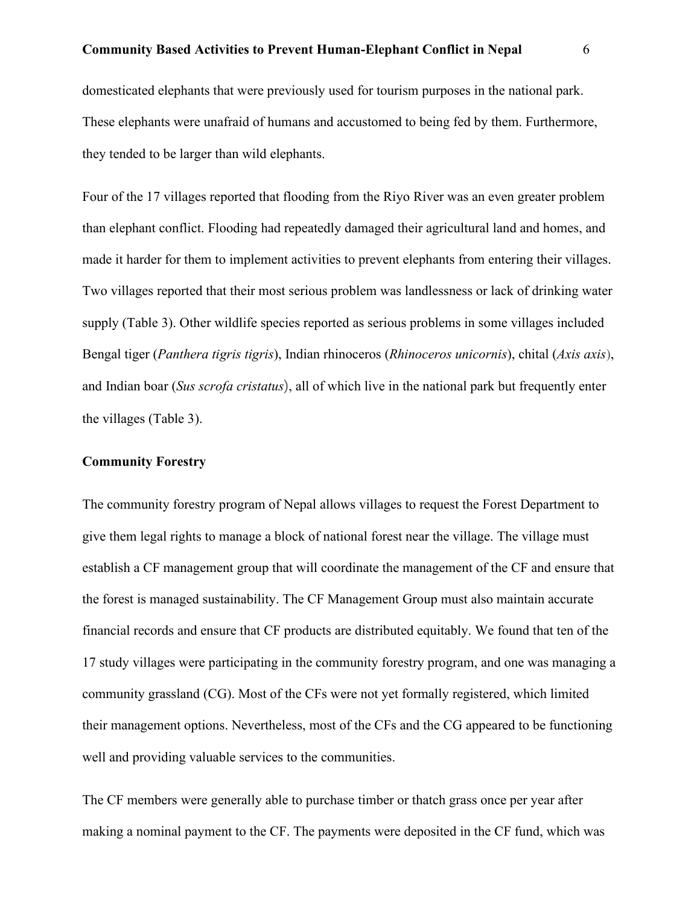domesticated elephants that were previously used for tourism purposes in the national park. These elephants were unafraid of humans and accustomed to being fed by them. Furthermore, they tended to be larger than wild elephants.

Four of the 17 villages reported that flooding from the Riyo River was an even greater problem than elephant conflict. Flooding had repeatedly damaged their agricultural land and homes, and made it harder for them to implement activities to prevent elephants from entering their villages. Two villages reported that their most serious problem was landlessness or lack of drinking water supply (Table 3). Other wildlife species reported as serious problems in some villages included Bengal tiger (*Panthera tigris tigris*), Indian rhinoceros (*Rhinoceros unicornis*), chital (*Axis axis*), and Indian boar (*Sus scrofa cristatus*), all of which live in the national park but frequently enter the villages (Table 3).

#### **Community Forestry**

The community forestry program of Nepal allows villages to request the Forest Department to give them legal rights to manage a block of national forest near the village. The village must establish a CF management group that will coordinate the management of the CF and ensure that the forest is managed sustainability. The CF Management Group must also maintain accurate financial records and ensure that CF products are distributed equitably. We found that ten of the 17 study villages were participating in the community forestry program, and one was managing a community grassland (CG). Most of the CFs were not yet formally registered, which limited their management options. Nevertheless, most of the CFs and the CG appeared to be functioning well and providing valuable services to the communities.

The CF members were generally able to purchase timber or thatch grass once per year after making a nominal payment to the CF. The payments were deposited in the CF fund, which was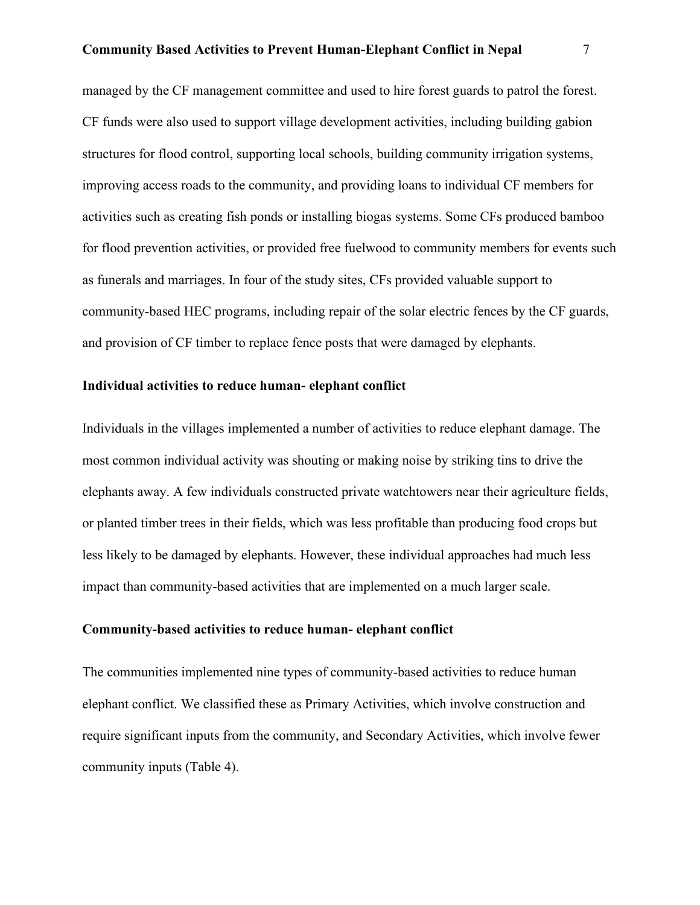managed by the CF management committee and used to hire forest guards to patrol the forest. CF funds were also used to support village development activities, including building gabion structures for flood control, supporting local schools, building community irrigation systems, improving access roads to the community, and providing loans to individual CF members for activities such as creating fish ponds or installing biogas systems. Some CFs produced bamboo for flood prevention activities, or provided free fuelwood to community members for events such as funerals and marriages. In four of the study sites, CFs provided valuable support to community-based HEC programs, including repair of the solar electric fences by the CF guards, and provision of CF timber to replace fence posts that were damaged by elephants.

#### **Individual activities to reduce human- elephant conflict**

Individuals in the villages implemented a number of activities to reduce elephant damage. The most common individual activity was shouting or making noise by striking tins to drive the elephants away. A few individuals constructed private watchtowers near their agriculture fields, or planted timber trees in their fields, which was less profitable than producing food crops but less likely to be damaged by elephants. However, these individual approaches had much less impact than community-based activities that are implemented on a much larger scale.

## **Community-based activities to reduce human- elephant conflict**

The communities implemented nine types of community-based activities to reduce human elephant conflict. We classified these as Primary Activities, which involve construction and require significant inputs from the community, and Secondary Activities, which involve fewer community inputs (Table 4).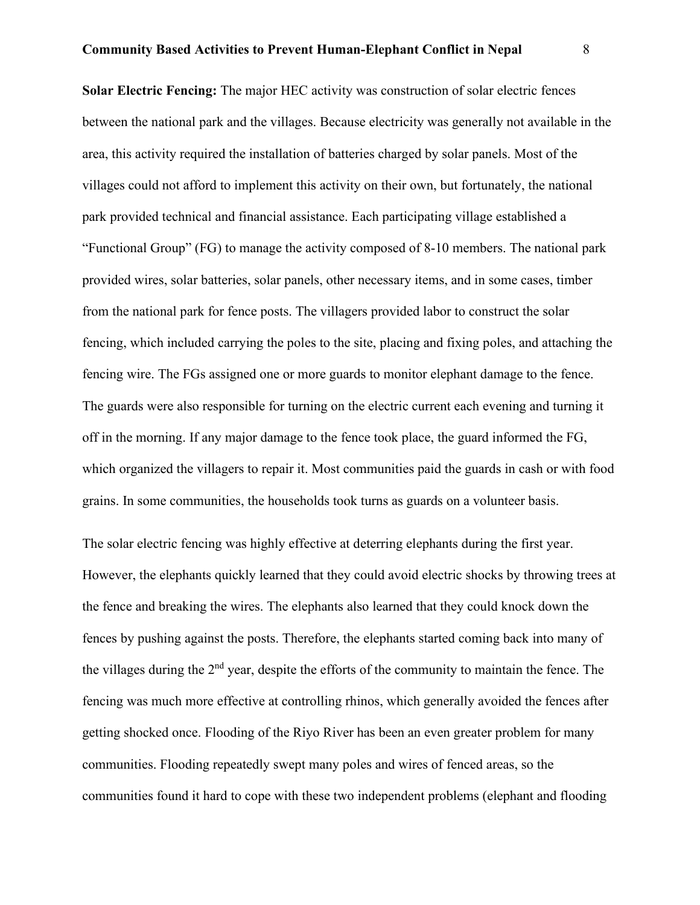**Solar Electric Fencing:** The major HEC activity was construction of solar electric fences between the national park and the villages. Because electricity was generally not available in the area, this activity required the installation of batteries charged by solar panels. Most of the villages could not afford to implement this activity on their own, but fortunately, the national park provided technical and financial assistance. Each participating village established a "Functional Group" (FG) to manage the activity composed of 8-10 members. The national park provided wires, solar batteries, solar panels, other necessary items, and in some cases, timber from the national park for fence posts. The villagers provided labor to construct the solar fencing, which included carrying the poles to the site, placing and fixing poles, and attaching the fencing wire. The FGs assigned one or more guards to monitor elephant damage to the fence. The guards were also responsible for turning on the electric current each evening and turning it off in the morning. If any major damage to the fence took place, the guard informed the FG, which organized the villagers to repair it. Most communities paid the guards in cash or with food grains. In some communities, the households took turns as guards on a volunteer basis.

The solar electric fencing was highly effective at deterring elephants during the first year. However, the elephants quickly learned that they could avoid electric shocks by throwing trees at the fence and breaking the wires. The elephants also learned that they could knock down the fences by pushing against the posts. Therefore, the elephants started coming back into many of the villages during the  $2<sup>nd</sup>$  year, despite the efforts of the community to maintain the fence. The fencing was much more effective at controlling rhinos, which generally avoided the fences after getting shocked once. Flooding of the Riyo River has been an even greater problem for many communities. Flooding repeatedly swept many poles and wires of fenced areas, so the communities found it hard to cope with these two independent problems (elephant and flooding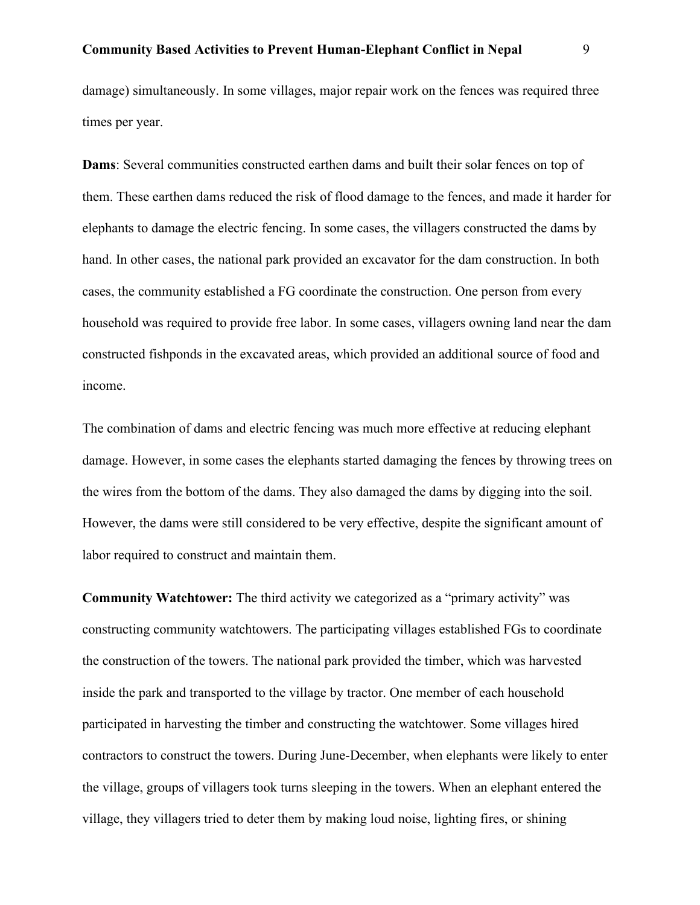damage) simultaneously. In some villages, major repair work on the fences was required three times per year.

**Dams**: Several communities constructed earthen dams and built their solar fences on top of them. These earthen dams reduced the risk of flood damage to the fences, and made it harder for elephants to damage the electric fencing. In some cases, the villagers constructed the dams by hand. In other cases, the national park provided an excavator for the dam construction. In both cases, the community established a FG coordinate the construction. One person from every household was required to provide free labor. In some cases, villagers owning land near the dam constructed fishponds in the excavated areas, which provided an additional source of food and income.

The combination of dams and electric fencing was much more effective at reducing elephant damage. However, in some cases the elephants started damaging the fences by throwing trees on the wires from the bottom of the dams. They also damaged the dams by digging into the soil. However, the dams were still considered to be very effective, despite the significant amount of labor required to construct and maintain them.

**Community Watchtower:** The third activity we categorized as a "primary activity" was constructing community watchtowers. The participating villages established FGs to coordinate the construction of the towers. The national park provided the timber, which was harvested inside the park and transported to the village by tractor. One member of each household participated in harvesting the timber and constructing the watchtower. Some villages hired contractors to construct the towers. During June-December, when elephants were likely to enter the village, groups of villagers took turns sleeping in the towers. When an elephant entered the village, they villagers tried to deter them by making loud noise, lighting fires, or shining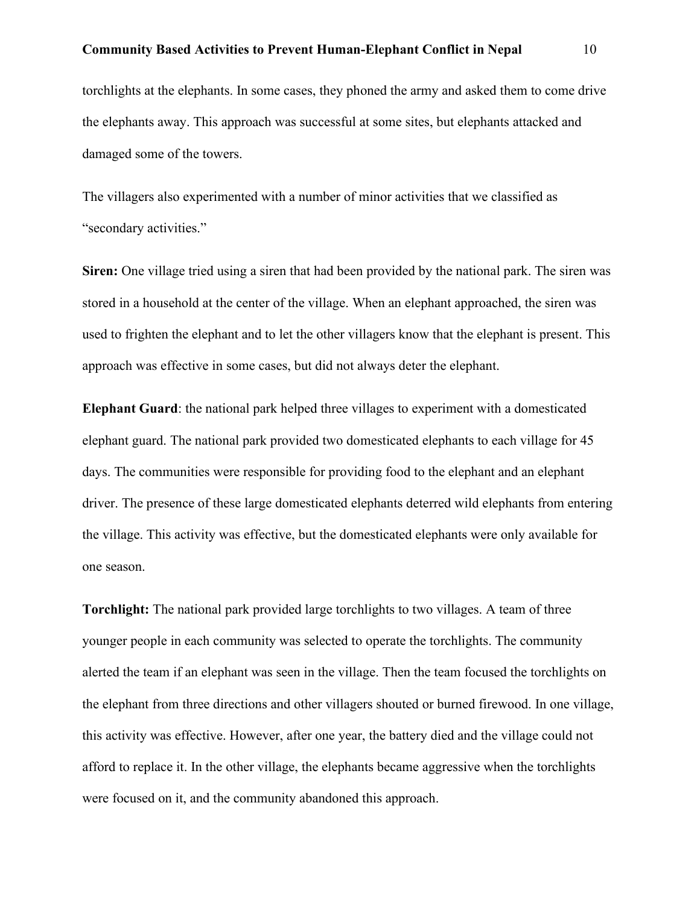torchlights at the elephants. In some cases, they phoned the army and asked them to come drive the elephants away. This approach was successful at some sites, but elephants attacked and damaged some of the towers.

The villagers also experimented with a number of minor activities that we classified as "secondary activities."

**Siren:** One village tried using a siren that had been provided by the national park. The siren was stored in a household at the center of the village. When an elephant approached, the siren was used to frighten the elephant and to let the other villagers know that the elephant is present. This approach was effective in some cases, but did not always deter the elephant.

**Elephant Guard**: the national park helped three villages to experiment with a domesticated elephant guard. The national park provided two domesticated elephants to each village for 45 days. The communities were responsible for providing food to the elephant and an elephant driver. The presence of these large domesticated elephants deterred wild elephants from entering the village. This activity was effective, but the domesticated elephants were only available for one season.

**Torchlight:** The national park provided large torchlights to two villages. A team of three younger people in each community was selected to operate the torchlights. The community alerted the team if an elephant was seen in the village. Then the team focused the torchlights on the elephant from three directions and other villagers shouted or burned firewood. In one village, this activity was effective. However, after one year, the battery died and the village could not afford to replace it. In the other village, the elephants became aggressive when the torchlights were focused on it, and the community abandoned this approach.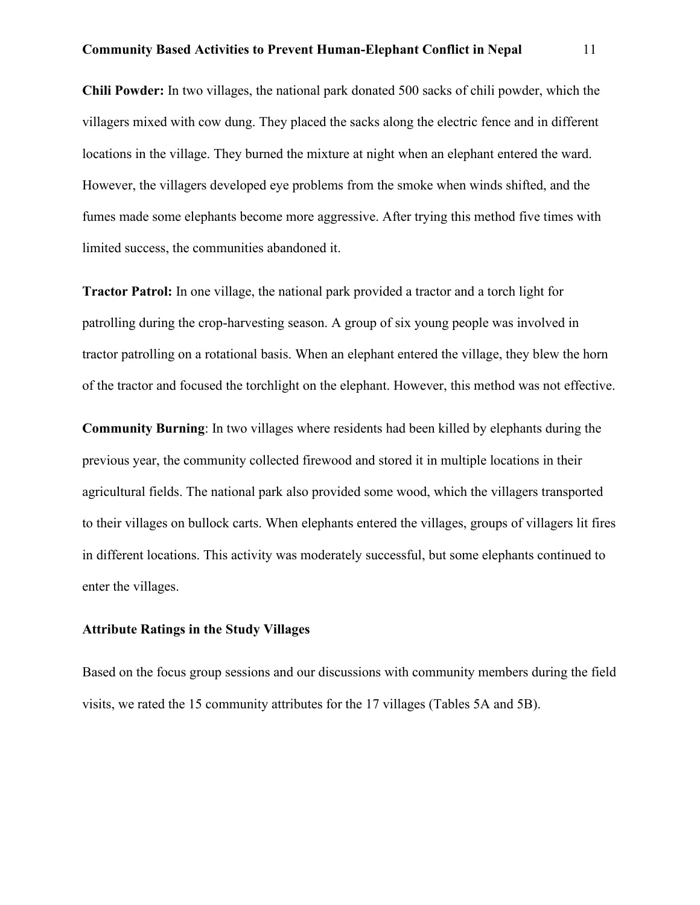**Chili Powder:** In two villages, the national park donated 500 sacks of chili powder, which the villagers mixed with cow dung. They placed the sacks along the electric fence and in different locations in the village. They burned the mixture at night when an elephant entered the ward. However, the villagers developed eye problems from the smoke when winds shifted, and the fumes made some elephants become more aggressive. After trying this method five times with limited success, the communities abandoned it.

**Tractor Patrol:** In one village, the national park provided a tractor and a torch light for patrolling during the crop-harvesting season. A group of six young people was involved in tractor patrolling on a rotational basis. When an elephant entered the village, they blew the horn of the tractor and focused the torchlight on the elephant. However, this method was not effective.

**Community Burning**: In two villages where residents had been killed by elephants during the previous year, the community collected firewood and stored it in multiple locations in their agricultural fields. The national park also provided some wood, which the villagers transported to their villages on bullock carts. When elephants entered the villages, groups of villagers lit fires in different locations. This activity was moderately successful, but some elephants continued to enter the villages.

## **Attribute Ratings in the Study Villages**

Based on the focus group sessions and our discussions with community members during the field visits, we rated the 15 community attributes for the 17 villages (Tables 5A and 5B).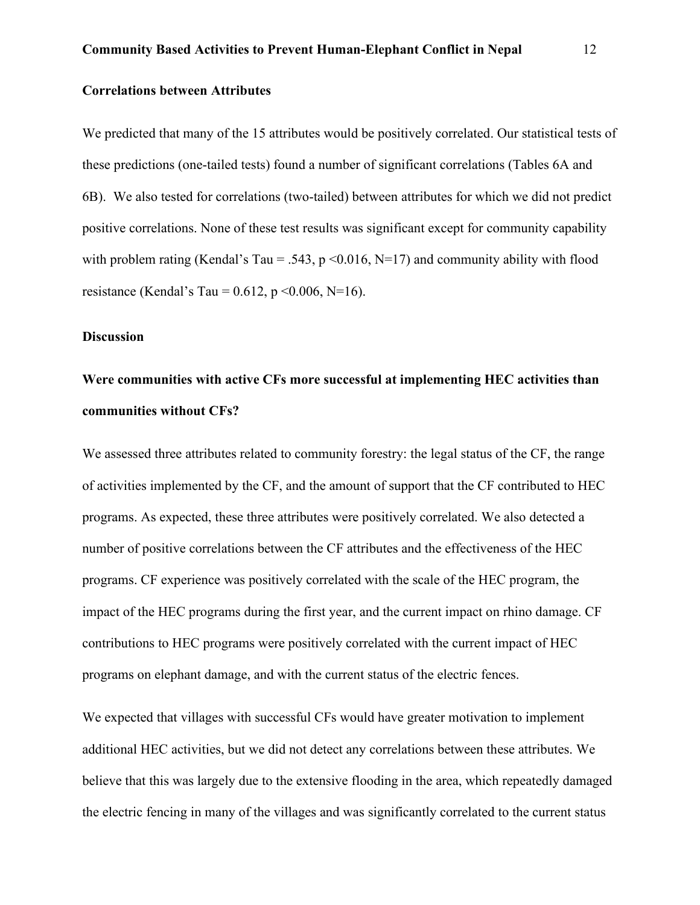### **Correlations between Attributes**

We predicted that many of the 15 attributes would be positively correlated. Our statistical tests of these predictions (one-tailed tests) found a number of significant correlations (Tables 6A and 6B). We also tested for correlations (two-tailed) between attributes for which we did not predict positive correlations. None of these test results was significant except for community capability with problem rating (Kendal's Tau = .543,  $p \le 0.016$ , N=17) and community ability with flood resistance (Kendal's Tau = 0.612, p < 0.006, N = 16).

## **Discussion**

## **Were communities with active CFs more successful at implementing HEC activities than communities without CFs?**

We assessed three attributes related to community forestry: the legal status of the CF, the range of activities implemented by the CF, and the amount of support that the CF contributed to HEC programs. As expected, these three attributes were positively correlated. We also detected a number of positive correlations between the CF attributes and the effectiveness of the HEC programs. CF experience was positively correlated with the scale of the HEC program, the impact of the HEC programs during the first year, and the current impact on rhino damage. CF contributions to HEC programs were positively correlated with the current impact of HEC programs on elephant damage, and with the current status of the electric fences.

We expected that villages with successful CFs would have greater motivation to implement additional HEC activities, but we did not detect any correlations between these attributes. We believe that this was largely due to the extensive flooding in the area, which repeatedly damaged the electric fencing in many of the villages and was significantly correlated to the current status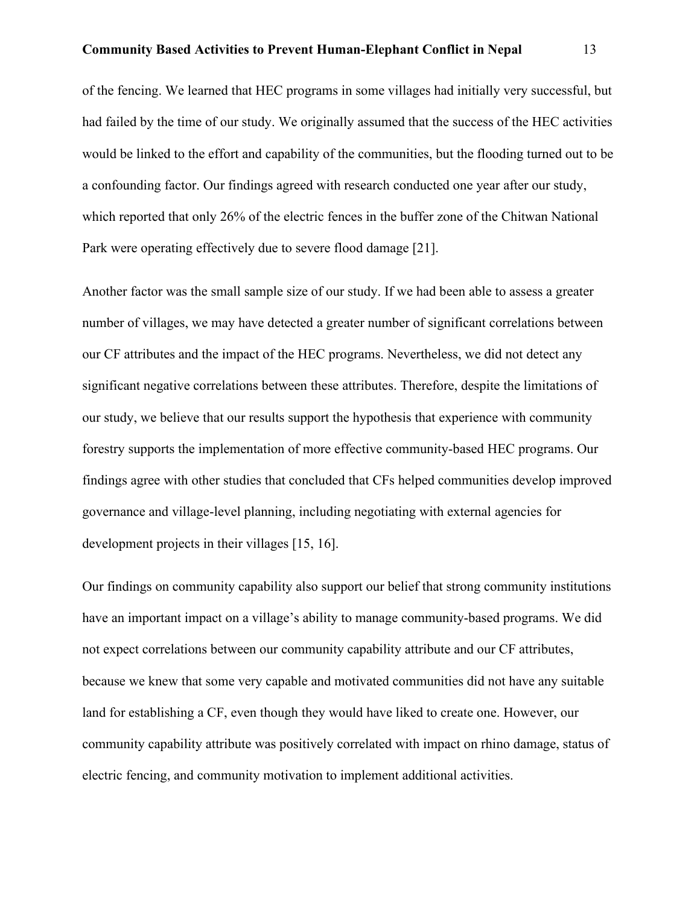of the fencing. We learned that HEC programs in some villages had initially very successful, but had failed by the time of our study. We originally assumed that the success of the HEC activities would be linked to the effort and capability of the communities, but the flooding turned out to be a confounding factor. Our findings agreed with research conducted one year after our study, which reported that only 26% of the electric fences in the buffer zone of the Chitwan National Park were operating effectively due to severe flood damage [21].

Another factor was the small sample size of our study. If we had been able to assess a greater number of villages, we may have detected a greater number of significant correlations between our CF attributes and the impact of the HEC programs. Nevertheless, we did not detect any significant negative correlations between these attributes. Therefore, despite the limitations of our study, we believe that our results support the hypothesis that experience with community forestry supports the implementation of more effective community-based HEC programs. Our findings agree with other studies that concluded that CFs helped communities develop improved governance and village-level planning, including negotiating with external agencies for development projects in their villages [15, 16].

Our findings on community capability also support our belief that strong community institutions have an important impact on a village's ability to manage community-based programs. We did not expect correlations between our community capability attribute and our CF attributes, because we knew that some very capable and motivated communities did not have any suitable land for establishing a CF, even though they would have liked to create one. However, our community capability attribute was positively correlated with impact on rhino damage, status of electric fencing, and community motivation to implement additional activities.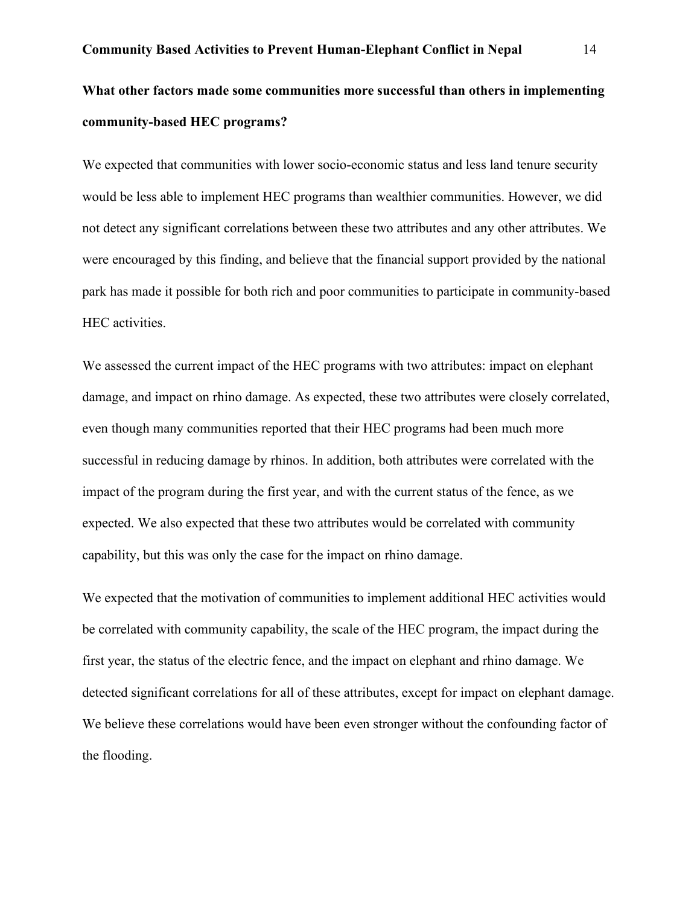## **What other factors made some communities more successful than others in implementing community-based HEC programs?**

We expected that communities with lower socio-economic status and less land tenure security would be less able to implement HEC programs than wealthier communities. However, we did not detect any significant correlations between these two attributes and any other attributes. We were encouraged by this finding, and believe that the financial support provided by the national park has made it possible for both rich and poor communities to participate in community-based HEC activities.

We assessed the current impact of the HEC programs with two attributes: impact on elephant damage, and impact on rhino damage. As expected, these two attributes were closely correlated, even though many communities reported that their HEC programs had been much more successful in reducing damage by rhinos. In addition, both attributes were correlated with the impact of the program during the first year, and with the current status of the fence, as we expected. We also expected that these two attributes would be correlated with community capability, but this was only the case for the impact on rhino damage.

We expected that the motivation of communities to implement additional HEC activities would be correlated with community capability, the scale of the HEC program, the impact during the first year, the status of the electric fence, and the impact on elephant and rhino damage. We detected significant correlations for all of these attributes, except for impact on elephant damage. We believe these correlations would have been even stronger without the confounding factor of the flooding.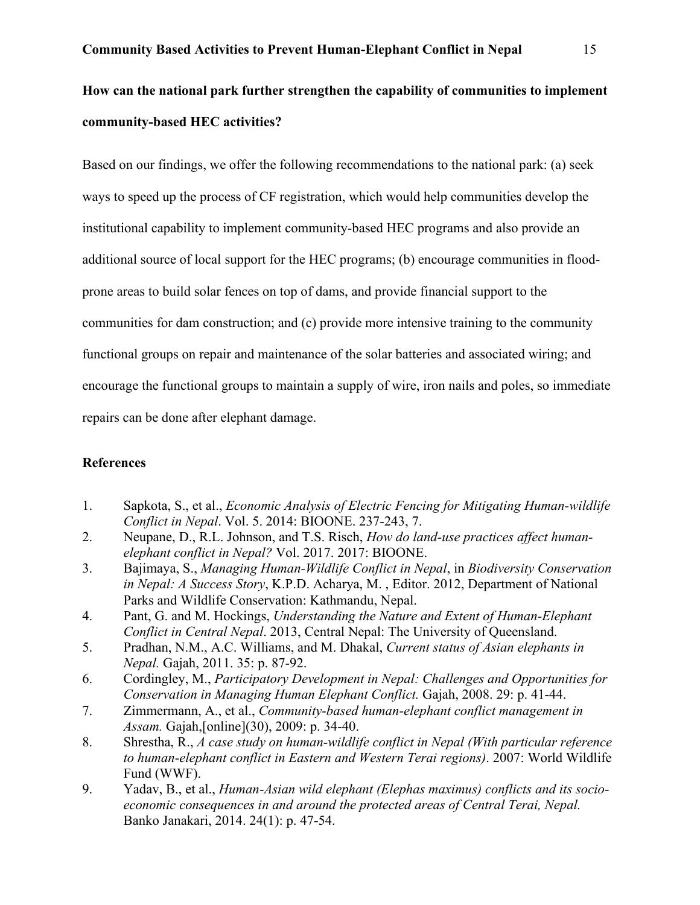## **How can the national park further strengthen the capability of communities to implement community-based HEC activities?**

Based on our findings, we offer the following recommendations to the national park: (a) seek ways to speed up the process of CF registration, which would help communities develop the institutional capability to implement community-based HEC programs and also provide an additional source of local support for the HEC programs; (b) encourage communities in floodprone areas to build solar fences on top of dams, and provide financial support to the communities for dam construction; and (c) provide more intensive training to the community functional groups on repair and maintenance of the solar batteries and associated wiring; and encourage the functional groups to maintain a supply of wire, iron nails and poles, so immediate repairs can be done after elephant damage.

## **References**

- 1. Sapkota, S., et al., *Economic Analysis of Electric Fencing for Mitigating Human-wildlife Conflict in Nepal*. Vol. 5. 2014: BIOONE. 237-243, 7.
- 2. Neupane, D., R.L. Johnson, and T.S. Risch, *How do land-use practices affect humanelephant conflict in Nepal?* Vol. 2017. 2017: BIOONE.
- 3. Bajimaya, S., *Managing Human-Wildlife Conflict in Nepal*, in *Biodiversity Conservation in Nepal: A Success Story*, K.P.D. Acharya, M. , Editor. 2012, Department of National Parks and Wildlife Conservation: Kathmandu, Nepal.
- 4. Pant, G. and M. Hockings, *Understanding the Nature and Extent of Human-Elephant Conflict in Central Nepal*. 2013, Central Nepal: The University of Queensland.
- 5. Pradhan, N.M., A.C. Williams, and M. Dhakal, *Current status of Asian elephants in Nepal.* Gajah, 2011. 35: p. 87-92.
- 6. Cordingley, M., *Participatory Development in Nepal: Challenges and Opportunities for Conservation in Managing Human Elephant Conflict.* Gajah, 2008. 29: p. 41-44.
- 7. Zimmermann, A., et al., *Community-based human-elephant conflict management in Assam.* Gajah,[online](30), 2009: p. 34-40.
- 8. Shrestha, R., *A case study on human-wildlife conflict in Nepal (With particular reference to human-elephant conflict in Eastern and Western Terai regions)*. 2007: World Wildlife Fund (WWF).
- 9. Yadav, B., et al., *Human-Asian wild elephant (Elephas maximus) conflicts and its socioeconomic consequences in and around the protected areas of Central Terai, Nepal.* Banko Janakari, 2014. 24(1): p. 47-54.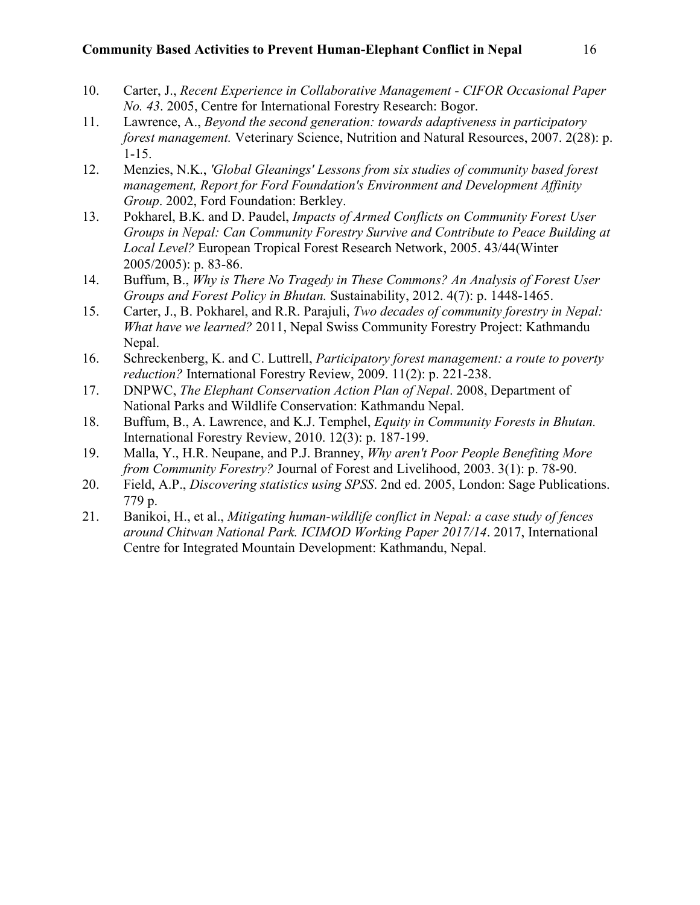## **Community Based Activities to Prevent Human-Elephant Conflict in Nepal** 16

- 10. Carter, J., *Recent Experience in Collaborative Management - CIFOR Occasional Paper No. 43*. 2005, Centre for International Forestry Research: Bogor.
- 11. Lawrence, A., *Beyond the second generation: towards adaptiveness in participatory forest management.* Veterinary Science, Nutrition and Natural Resources, 2007. 2(28): p. 1-15.
- 12. Menzies, N.K., *'Global Gleanings' Lessons from six studies of community based forest management, Report for Ford Foundation's Environment and Development Affinity Group*. 2002, Ford Foundation: Berkley.
- 13. Pokharel, B.K. and D. Paudel, *Impacts of Armed Conflicts on Community Forest User Groups in Nepal: Can Community Forestry Survive and Contribute to Peace Building at Local Level?* European Tropical Forest Research Network, 2005. 43/44(Winter 2005/2005): p. 83-86.
- 14. Buffum, B., *Why is There No Tragedy in These Commons? An Analysis of Forest User Groups and Forest Policy in Bhutan.* Sustainability, 2012. 4(7): p. 1448-1465.
- 15. Carter, J., B. Pokharel, and R.R. Parajuli, *Two decades of community forestry in Nepal: What have we learned?* 2011, Nepal Swiss Community Forestry Project: Kathmandu Nepal.
- 16. Schreckenberg, K. and C. Luttrell, *Participatory forest management: a route to poverty reduction?* International Forestry Review, 2009. 11(2): p. 221-238.
- 17. DNPWC, *The Elephant Conservation Action Plan of Nepal*. 2008, Department of National Parks and Wildlife Conservation: Kathmandu Nepal.
- 18. Buffum, B., A. Lawrence, and K.J. Temphel, *Equity in Community Forests in Bhutan.* International Forestry Review, 2010. 12(3): p. 187-199.
- 19. Malla, Y., H.R. Neupane, and P.J. Branney, *Why aren't Poor People Benefiting More from Community Forestry?* Journal of Forest and Livelihood, 2003. 3(1): p. 78-90.
- 20. Field, A.P., *Discovering statistics using SPSS*. 2nd ed. 2005, London: Sage Publications. 779 p.
- 21. Banikoi, H., et al., *Mitigating human-wildlife conflict in Nepal: a case study of fences around Chitwan National Park. ICIMOD Working Paper 2017/14*. 2017, International Centre for Integrated Mountain Development: Kathmandu, Nepal.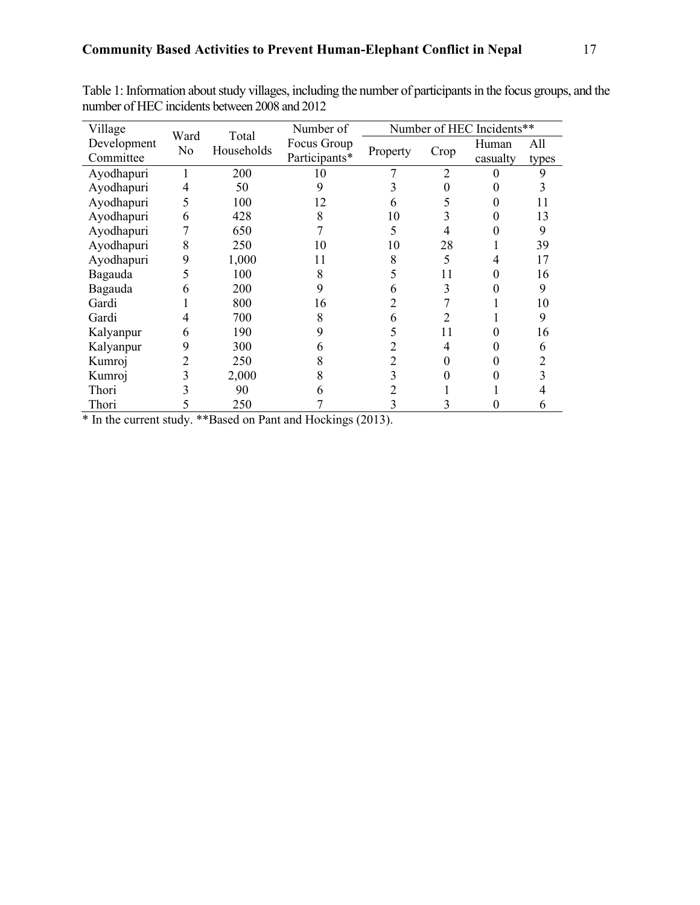| Village     | Ward | Total      | Number of     | Number of HEC Incidents** |      |          |       |  |
|-------------|------|------------|---------------|---------------------------|------|----------|-------|--|
| Development | No   | Households | Focus Group   |                           |      | Human    | All   |  |
| Committee   |      |            | Participants* | Property                  | Crop | casualty | types |  |
| Ayodhapuri  |      | 200        | 10            |                           | 2    |          | 9     |  |
| Ayodhapuri  |      | 50         | 9             |                           | 0    |          |       |  |
| Ayodhapuri  |      | 100        | 12            | 6                         | 5    |          | 11    |  |
| Ayodhapuri  | 6    | 428        | 8             | 10                        | 3    |          | 13    |  |
| Ayodhapuri  |      | 650        |               | 5                         | 4    |          | 9     |  |
| Ayodhapuri  | 8    | 250        | 10            | 10                        | 28   |          | 39    |  |
| Ayodhapuri  | 9    | 1,000      | 11            | 8                         | 5    |          | 17    |  |
| Bagauda     |      | 100        | 8             |                           | 11   |          | 16    |  |
| Bagauda     | 6    | 200        | 9             | h                         | 3    |          | 9     |  |
| Gardi       |      | 800        | 16            |                           |      |          | 10    |  |
| Gardi       |      | 700        | 8             | h                         |      |          | 9     |  |
| Kalyanpur   | 6    | 190        | 9             | 5                         | 11   |          | 16    |  |
| Kalyanpur   | 9    | 300        | n             | 2                         | 4    |          | 6     |  |
| Kumroj      |      | 250        |               | 2                         |      |          |       |  |
| Kumroj      | 3    | 2,000      |               |                           |      |          |       |  |
| Thori       |      | 90         |               |                           |      |          |       |  |
| Thori       |      | 250        |               |                           |      |          | h     |  |

Table 1: Information about study villages, including the number of participants in the focus groups, and the number of HEC incidents between 2008 and 2012

\* In the current study. \*\*Based on Pant and Hockings (2013).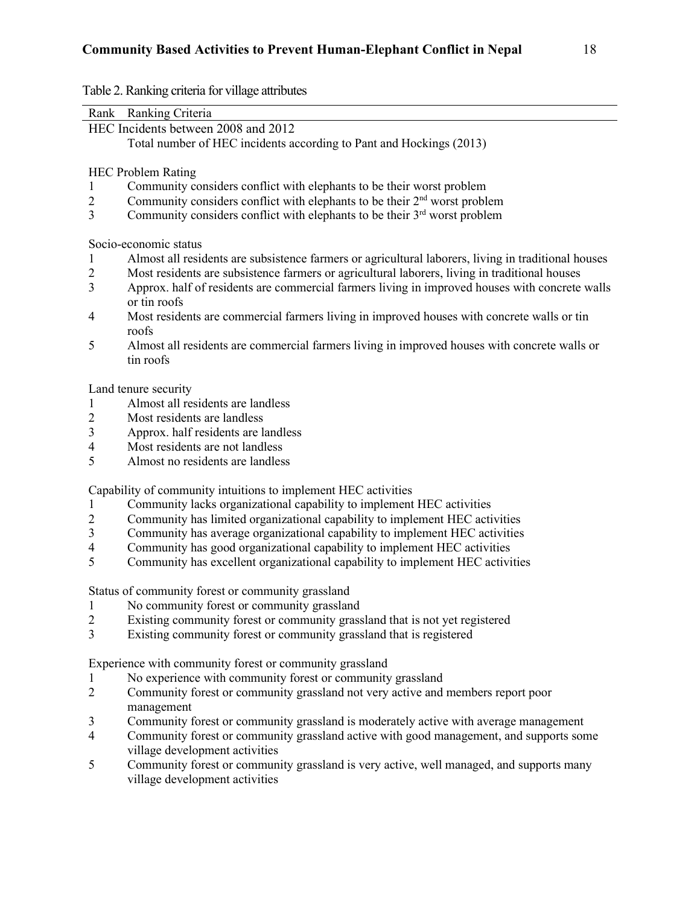|                          | Table 2. Ranking criteria for village attributes                                                                                                                     |
|--------------------------|----------------------------------------------------------------------------------------------------------------------------------------------------------------------|
|                          | Rank Ranking Criteria                                                                                                                                                |
|                          | HEC Incidents between 2008 and 2012<br>Total number of HEC incidents according to Pant and Hockings (2013)                                                           |
|                          | HEC Problem Rating                                                                                                                                                   |
| 1                        | Community considers conflict with elephants to be their worst problem                                                                                                |
| $\overline{2}$<br>3      | Community considers conflict with elephants to be their $2nd$ worst problem<br>Community considers conflict with elephants to be their 3 <sup>rd</sup> worst problem |
|                          | Socio-economic status                                                                                                                                                |
| 1                        | Almost all residents are subsistence farmers or agricultural laborers, living in traditional houses                                                                  |
| $\overline{c}$           | Most residents are subsistence farmers or agricultural laborers, living in traditional houses                                                                        |
| 3                        | Approx. half of residents are commercial farmers living in improved houses with concrete walls<br>or tin roofs                                                       |
| 4                        | Most residents are commercial farmers living in improved houses with concrete walls or tin<br>roofs                                                                  |
| 5                        | Almost all residents are commercial farmers living in improved houses with concrete walls or<br>tin roofs                                                            |
|                          | Land tenure security                                                                                                                                                 |
| $\mathbf{1}$             | Almost all residents are landless                                                                                                                                    |
| $\overline{2}$           | Most residents are landless                                                                                                                                          |
| 3                        | Approx. half residents are landless                                                                                                                                  |
| 4                        | Most residents are not landless                                                                                                                                      |
| 5                        | Almost no residents are landless                                                                                                                                     |
|                          | Capability of community intuitions to implement HEC activities                                                                                                       |
| 1                        | Community lacks organizational capability to implement HEC activities                                                                                                |
| 2                        | Community has limited organizational capability to implement HEC activities                                                                                          |
| 3                        | Community has average organizational capability to implement HEC activities                                                                                          |
| $\overline{\mathcal{A}}$ | Community has good organizational capability to implement HEC activities                                                                                             |
| 5                        | Community has excellent organizational capability to implement HEC activities                                                                                        |
|                          | Status of community forest or community grassland                                                                                                                    |
| 1                        | No community forest or community grassland                                                                                                                           |
| $\overline{c}$           | Existing community forest or community grassland that is not yet registered                                                                                          |
| 3                        | Existing community forest or community grassland that is registered                                                                                                  |
|                          | Experience with community forest or community grassland                                                                                                              |
|                          | No experience with community forest or community grassland                                                                                                           |
| 2                        | Community forest or community grassland not very active and members report poor<br>management                                                                        |
| 3                        | Community forest or community grassland is moderately active with average management                                                                                 |
| 4                        | Community forest or community grassland active with good management, and supports some<br>village development activities                                             |

 Community forest or community grassland is very active, well managed, and supports many village development activities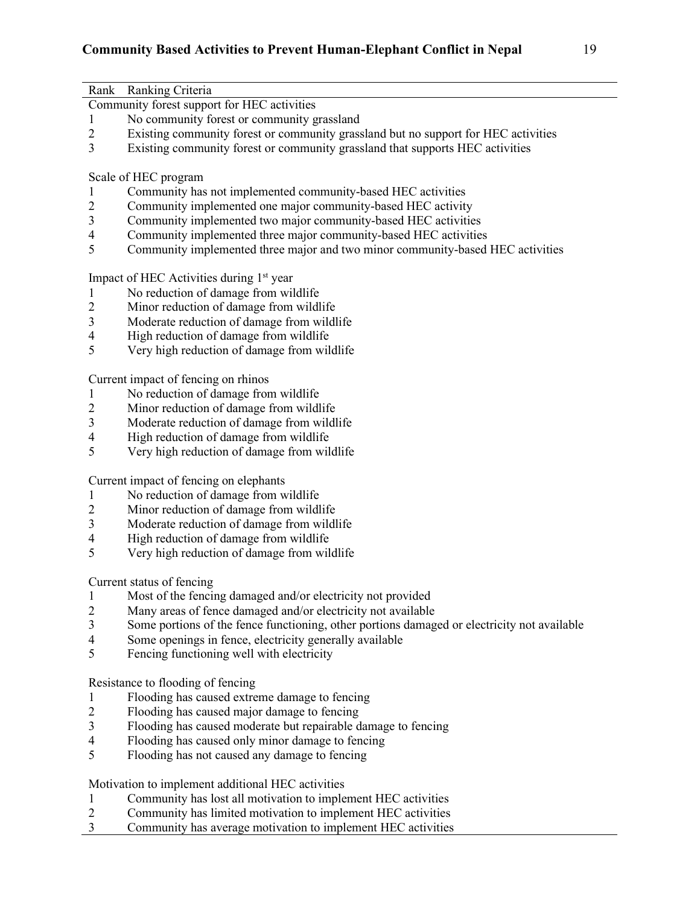|                | Rank Ranking Criteria                                                              |  |  |  |  |  |  |  |
|----------------|------------------------------------------------------------------------------------|--|--|--|--|--|--|--|
|                | Community forest support for HEC activities                                        |  |  |  |  |  |  |  |
| 1              | No community forest or community grassland                                         |  |  |  |  |  |  |  |
| $\overline{2}$ | Existing community forest or community grassland but no support for HEC activities |  |  |  |  |  |  |  |
| 3              | Existing community forest or community grassland that supports HEC activities      |  |  |  |  |  |  |  |
|                | Scale of HEC program                                                               |  |  |  |  |  |  |  |
| 1              | Community has not implemented community-based HEC activities                       |  |  |  |  |  |  |  |
| $\overline{2}$ | Community implemented one major community-based HEC activity                       |  |  |  |  |  |  |  |
| 3              | Community implemented two major community-based HEC activities                     |  |  |  |  |  |  |  |
| 4              | Community implemented three major community-based HEC activities                   |  |  |  |  |  |  |  |
| 5              | Community implemented three major and two minor community-based HEC activities     |  |  |  |  |  |  |  |
|                | Impact of HEC Activities during 1 <sup>st</sup> year                               |  |  |  |  |  |  |  |
| 1              | No reduction of damage from wildlife                                               |  |  |  |  |  |  |  |
| $\overline{2}$ | Minor reduction of damage from wildlife                                            |  |  |  |  |  |  |  |
| 3              | Moderate reduction of damage from wildlife                                         |  |  |  |  |  |  |  |
| $\overline{4}$ | High reduction of damage from wildlife                                             |  |  |  |  |  |  |  |
| 5              | Very high reduction of damage from wildlife                                        |  |  |  |  |  |  |  |

Current impact of fencing on rhinos

- 1 No reduction of damage from wildlife
- 2 Minor reduction of damage from wildlife<br>3 Moderate reduction of damage from wildl
- 3 Moderate reduction of damage from wildlife<br>4 High reduction of damage from wildlife
- High reduction of damage from wildlife
- 5 Very high reduction of damage from wildlife

Current impact of fencing on elephants

- 1 No reduction of damage from wildlife<br>2 Minor reduction of damage from wildl
- 2 Minor reduction of damage from wildlife<br>3 Moderate reduction of damage from wildl
- Moderate reduction of damage from wildlife
- 4 High reduction of damage from wildlife
- 5 Very high reduction of damage from wildlife

Current status of fencing

- 1 Most of the fencing damaged and/or electricity not provided<br>2 Many areas of fence damaged and/or electricity not available
- 2 Many areas of fence damaged and/or electricity not available<br>3 Some portions of the fence functioning, other portions damage
- 3 Some portions of the fence functioning, other portions damaged or electricity not available<br>4 Some openings in fence, electricity generally available
- 4 Some openings in fence, electricity generally available<br>5 Fencing functioning well with electricity
- 5 Fencing functioning well with electricity

Resistance to flooding of fencing

- 1 Flooding has caused extreme damage to fencing
- 2 Flooding has caused major damage to fencing<br>3 Flooding has caused moderate but repairable d
- Flooding has caused moderate but repairable damage to fencing
- 4 Flooding has caused only minor damage to fencing<br>5 Flooding has not caused any damage to fencing
- 5 Flooding has not caused any damage to fencing

Motivation to implement additional HEC activities

- 1 Community has lost all motivation to implement HEC activities
- 2 Community has limited motivation to implement HEC activities
- 3 Community has average motivation to implement HEC activities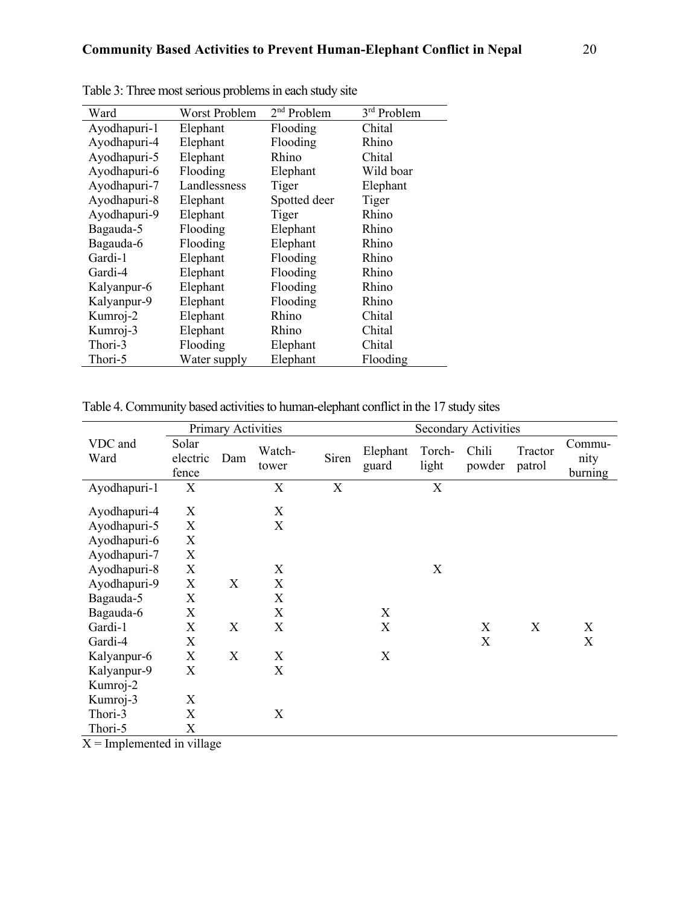| Ward         | Worst Problem | $2nd$ Problem | 3 <sup>rd</sup> Problem |
|--------------|---------------|---------------|-------------------------|
| Ayodhapuri-1 | Elephant      | Flooding      | Chital                  |
| Ayodhapuri-4 | Elephant      | Flooding      | Rhino                   |
| Ayodhapuri-5 | Elephant      | Rhino         | Chital                  |
| Ayodhapuri-6 | Flooding      | Elephant      | Wild boar               |
| Ayodhapuri-7 | Landlessness  | Tiger         | Elephant                |
| Ayodhapuri-8 | Elephant      | Spotted deer  | Tiger                   |
| Ayodhapuri-9 | Elephant      | Tiger         | Rhino                   |
| Bagauda-5    | Flooding      | Elephant      | Rhino                   |
| Bagauda-6    | Flooding      | Elephant      | Rhino                   |
| Gardi-1      | Elephant      | Flooding      | Rhino                   |
| Gardi-4      | Elephant      | Flooding      | Rhino                   |
| Kalyanpur-6  | Elephant      | Flooding      | Rhino                   |
| Kalyanpur-9  | Elephant      | Flooding      | Rhino                   |
| Kumroj-2     | Elephant      | Rhino         | Chital                  |
| Kumroj-3     | Elephant      | Rhino         | Chital                  |
| Thori-3      | Flooding      | Elephant      | Chital                  |
| Thori-5      | Water supply  | Elephant      | Flooding                |

Table 3: Three most serious problems in each study site

Table 4. Community based activities to human-elephant conflict in the 17 study sites

|                                              | Primary Activities               |     |                           |       | <b>Secondary Activities</b> |                 |                 |                   |                           |
|----------------------------------------------|----------------------------------|-----|---------------------------|-------|-----------------------------|-----------------|-----------------|-------------------|---------------------------|
| VDC and<br>Ward                              | Solar<br>electric<br>fence       | Dam | Watch-<br>tower           | Siren | Elephant<br>guard           | Torch-<br>light | Chili<br>powder | Tractor<br>patrol | Commu-<br>nity<br>burning |
| Ayodhapuri-1                                 | X                                |     | $\boldsymbol{\mathrm{X}}$ | X     |                             | X               |                 |                   |                           |
| Ayodhapuri-4<br>Ayodhapuri-5<br>Ayodhapuri-6 | X<br>X<br>X                      |     | X<br>X                    |       |                             |                 |                 |                   |                           |
| Ayodhapuri-7                                 | X                                |     |                           |       |                             |                 |                 |                   |                           |
| Ayodhapuri-8                                 | X                                |     | X                         |       |                             | X               |                 |                   |                           |
| Ayodhapuri-9                                 | X                                | X   | X                         |       |                             |                 |                 |                   |                           |
| Bagauda-5                                    | X                                |     | X                         |       |                             |                 |                 |                   |                           |
| Bagauda-6                                    | X                                |     | X                         |       | X                           |                 |                 |                   |                           |
| Gardi-1                                      | X                                | X   | X                         |       | X                           |                 | X               | X                 | X                         |
| Gardi-4                                      | X                                |     |                           |       |                             |                 | X               |                   | X                         |
| Kalyanpur-6                                  | X                                | X   | X                         |       | X                           |                 |                 |                   |                           |
| Kalyanpur-9                                  | X                                |     | X                         |       |                             |                 |                 |                   |                           |
| Kumroj-2                                     |                                  |     |                           |       |                             |                 |                 |                   |                           |
| Kumroj-3                                     | X                                |     |                           |       |                             |                 |                 |                   |                           |
| Thori-3                                      | X                                |     | X                         |       |                             |                 |                 |                   |                           |
| Thori-5                                      | X<br>$\cdots$<br>$\cdot$ $\cdot$ |     |                           |       |                             |                 |                 |                   |                           |

 $\overline{X}$  = Implemented in village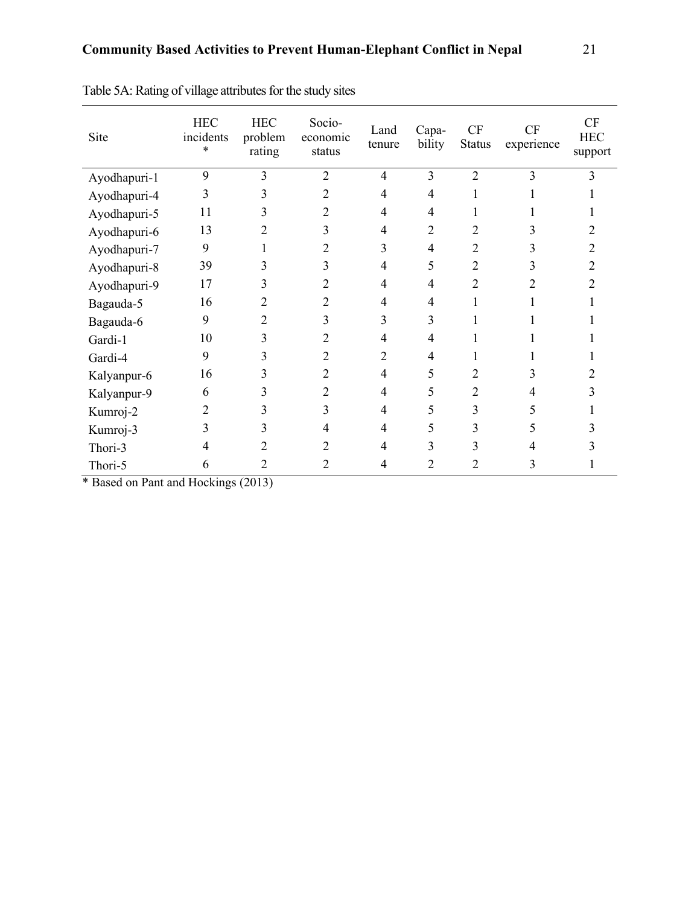| Site         | <b>HEC</b><br>incidents<br>$\ast$ | <b>HEC</b><br>problem<br>rating | Socio-<br>economic<br>status | Land<br>tenure | Capa-<br>bility | CF<br><b>Status</b> | CF<br>experience | CF<br><b>HEC</b><br>support |
|--------------|-----------------------------------|---------------------------------|------------------------------|----------------|-----------------|---------------------|------------------|-----------------------------|
| Ayodhapuri-1 | 9                                 | 3                               | $\overline{2}$               | $\overline{4}$ | 3               | $\overline{2}$      | 3                | 3                           |
| Ayodhapuri-4 | 3                                 | 3                               | 2                            | 4              | 4               |                     |                  |                             |
| Ayodhapuri-5 | 11                                | 3                               | $\overline{2}$               | 4              | 4               |                     |                  |                             |
| Ayodhapuri-6 | 13                                | 2                               | 3                            | 4              | 2               | 2                   | 3                | 2                           |
| Ayodhapuri-7 | 9                                 |                                 | 2                            | 3              | 4               | 2                   | 3                | 2                           |
| Ayodhapuri-8 | 39                                | 3                               | 3                            | 4              | 5               | 2                   | 3                | 2                           |
| Ayodhapuri-9 | 17                                | 3                               | 2                            | 4              | $\overline{4}$  | $\overline{2}$      | 2                | 2                           |
| Bagauda-5    | 16                                | 2                               | 2                            | 4              | 4               | 1                   |                  |                             |
| Bagauda-6    | 9                                 | 2                               | 3                            | 3              | 3               |                     |                  |                             |
| Gardi-1      | 10                                | 3                               | $\overline{2}$               | 4              | $\overline{4}$  |                     |                  |                             |
| Gardi-4      | 9                                 | 3                               | 2                            | 2              | 4               |                     |                  |                             |
| Kalyanpur-6  | 16                                | 3                               | $\overline{2}$               | 4              | 5               | 2                   | 3                |                             |
| Kalyanpur-9  | 6                                 | 3                               | 2                            | 4              | 5               | $\overline{2}$      | 4                | 3                           |
| Kumroj-2     | 2                                 | 3                               | 3                            | 4              | 5               | 3                   | 5                |                             |
| Kumroj-3     | 3                                 | 3                               | 4                            | 4              | 5               | 3                   | 5                | 3                           |
| Thori-3      |                                   |                                 | 2                            | 4              | 3               | 3                   |                  |                             |
| Thori-5      | 6                                 | 2                               | 2                            | 4              | 2               | 2                   | 3                |                             |

Table 5A: Rating of village attributes for the study sites

\* Based on Pant and Hockings (2013)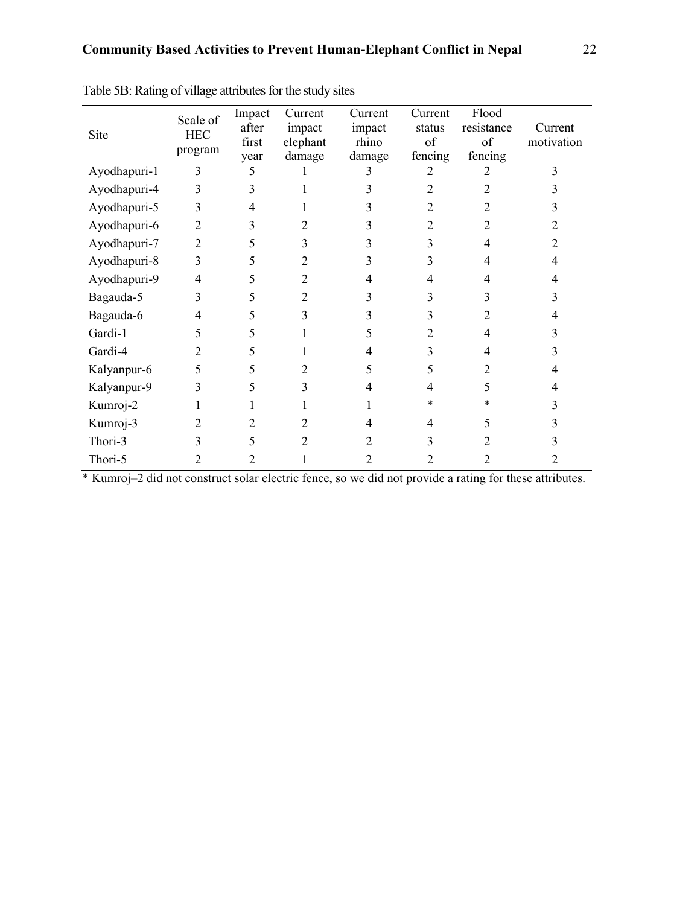| Site         | Scale of       | Impact<br>after | Current<br>impact | Current<br>impact | Current<br>status | Flood<br>resistance | Current    |
|--------------|----------------|-----------------|-------------------|-------------------|-------------------|---------------------|------------|
|              | <b>HEC</b>     | first           | elephant          | rhino             | of                | of                  | motivation |
|              | program        | year            | damage            | damage            | fencing           | fencing             |            |
| Ayodhapuri-1 | 3              | 5               |                   | 3                 | 2                 | 2                   | 3          |
| Ayodhapuri-4 | 3              | 3               |                   | 3                 | 2                 | 2                   | 3          |
| Ayodhapuri-5 | 3              | 4               |                   | 3                 | 2                 | 2                   | 3          |
| Ayodhapuri-6 | 2              | 3               | 2                 | 3                 | 2                 | 2                   | 2          |
| Ayodhapuri-7 | $\overline{2}$ | 5               | 3                 | 3                 | 3                 | 4                   |            |
| Ayodhapuri-8 | 3              | 5               | 2                 | 3                 | 3                 |                     | 4          |
| Ayodhapuri-9 | 4              | 5               | 2                 | 4                 | 4                 | 4                   | 4          |
| Bagauda-5    | 3              | Ć               | 2                 | 3                 | 3                 | 3                   | 3          |
| Bagauda-6    | 4              | 5               | 3                 | 3                 | 3                 | 2                   |            |
| Gardi-1      | 5              | 5               |                   | 5                 | 2                 | 4                   | 3          |
| Gardi-4      | 2              | 5               |                   | 4                 | 3                 | 4                   | 3          |
| Kalyanpur-6  | 5              | 5               | 2                 | 5                 | 5                 | 2                   | 4          |
| Kalyanpur-9  | 3              | 5               | 3                 | 4                 | 4                 | 5                   | 4          |
| Kumroj-2     |                |                 |                   |                   | *                 | *                   | 3          |
| Kumroj-3     | 2              | 2               | 2                 |                   | 4                 | 5                   | 3          |
| Thori-3      | 3              | 5               |                   |                   | 3                 | 2                   | 3          |
| Thori-5      | 2              | 2               |                   | 2                 | 2                 | 2                   | 2          |

Table 5B: Rating of village attributes for the study sites

\* Kumroj–2 did not construct solar electric fence, so we did not provide a rating for these attributes.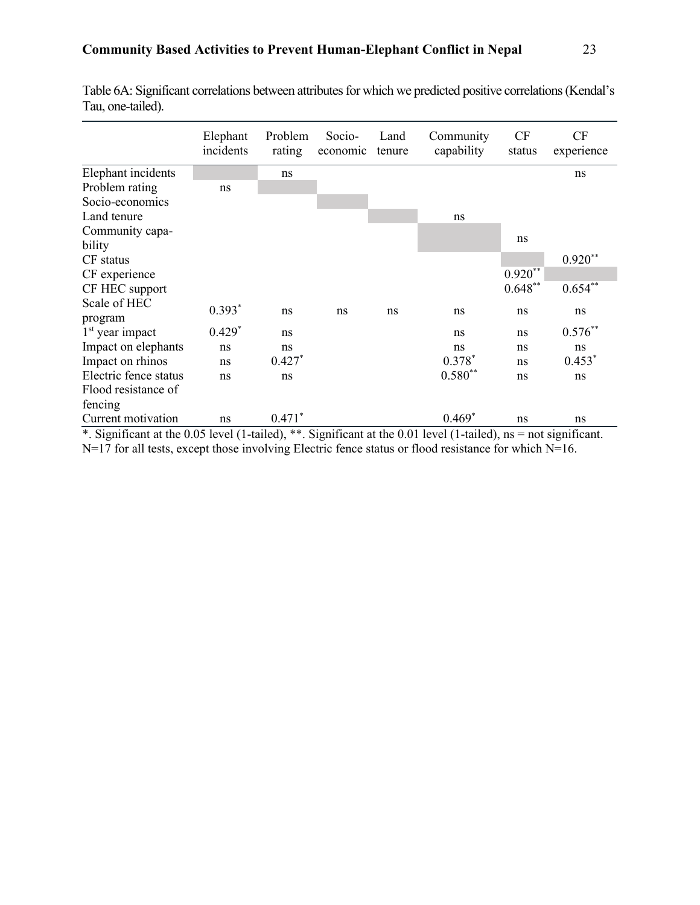|                       | Elephant<br>incidents | Problem<br>rating | Socio-<br>economic | Land<br>tenure | Community<br>capability | <b>CF</b><br>status | CF<br>experience |
|-----------------------|-----------------------|-------------------|--------------------|----------------|-------------------------|---------------------|------------------|
| Elephant incidents    |                       | ns                |                    |                |                         |                     | ns               |
| Problem rating        | ns                    |                   |                    |                |                         |                     |                  |
| Socio-economics       |                       |                   |                    |                |                         |                     |                  |
| Land tenure           |                       |                   |                    |                | ns                      |                     |                  |
| Community capa-       |                       |                   |                    |                |                         |                     |                  |
| bility                |                       |                   |                    |                |                         | ns                  |                  |
| CF status             |                       |                   |                    |                |                         |                     | $0.920**$        |
| CF experience         |                       |                   |                    |                |                         | $0.920***$          |                  |
| CF HEC support        |                       |                   |                    |                |                         | $0.648**$           | $0.654***$       |
| Scale of HEC          | $0.393*$              |                   |                    |                |                         |                     |                  |
| program               |                       | ns                | ns                 | ns             | ns                      | ns                  | ns               |
| $1st$ year impact     | $0.429*$              | ns                |                    |                | ns                      | ns                  | $0.576**$        |
| Impact on elephants   | ns                    | ns                |                    |                | ns                      | ns                  | ns               |
| Impact on rhinos      | ns                    | $0.427*$          |                    |                | $0.378*$                | ns                  | $0.453*$         |
| Electric fence status | ns                    | ns                |                    |                | $0.580**$               | ns                  | ns               |
| Flood resistance of   |                       |                   |                    |                |                         |                     |                  |
| fencing               |                       |                   |                    |                |                         |                     |                  |
| Current motivation    | ns                    | $0.471*$          |                    |                | $0.469*$                | ns                  | ns               |

Table 6A: Significant correlations between attributes for which we predicted positive correlations (Kendal's Tau, one-tailed).

\*. Significant at the 0.05 level (1-tailed), \*\*. Significant at the 0.01 level (1-tailed), ns = not significant. N=17 for all tests, except those involving Electric fence status or flood resistance for which N=16.